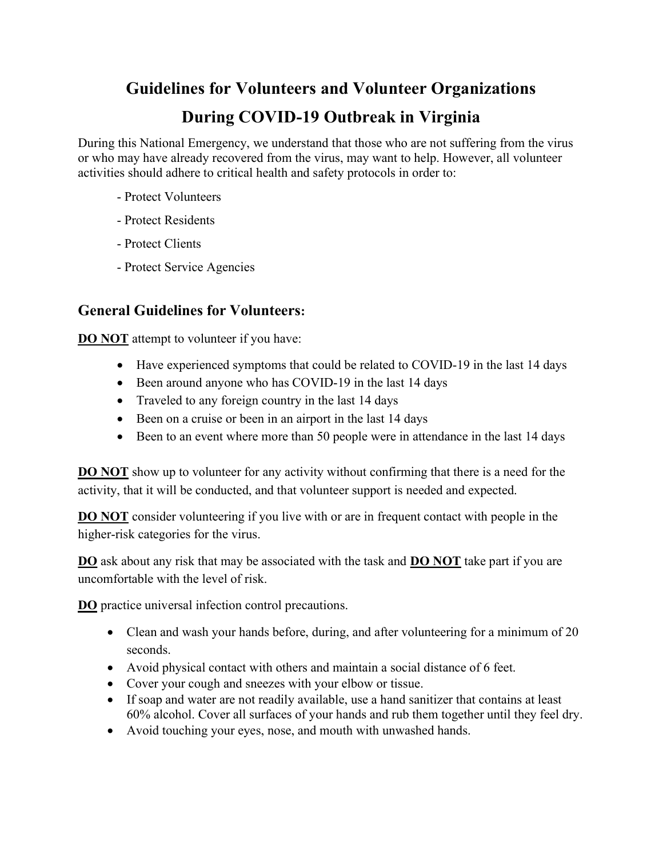# Guidelines for Volunteers and Volunteer Organizations During COVID-19 Outbreak in Virginia

During this National Emergency, we understand that those who are not suffering from the virus or who may have already recovered from the virus, may want to help. However, all volunteer activities should adhere to critical health and safety protocols in order to:

- Protect Volunteers
- Protect Residents
- Protect Clients
- Protect Service Agencies

## General Guidelines for Volunteers:

**DO NOT** attempt to volunteer if you have:

- Have experienced symptoms that could be related to COVID-19 in the last 14 days
- Been around anyone who has COVID-19 in the last 14 days
- Traveled to any foreign country in the last 14 days
- Been on a cruise or been in an airport in the last 14 days
- Been to an event where more than 50 people were in attendance in the last 14 days

DO NOT show up to volunteer for any activity without confirming that there is a need for the activity, that it will be conducted, and that volunteer support is needed and expected.

**DO NOT** consider volunteering if you live with or are in frequent contact with people in the higher-risk categories for the virus.

DO ask about any risk that may be associated with the task and DO NOT take part if you are uncomfortable with the level of risk.

DO practice universal infection control precautions.

- Clean and wash your hands before, during, and after volunteering for a minimum of 20 seconds.
- Avoid physical contact with others and maintain a social distance of 6 feet.
- Cover your cough and sneezes with your elbow or tissue.
- If soap and water are not readily available, use a hand sanitizer that contains at least 60% alcohol. Cover all surfaces of your hands and rub them together until they feel dry.
- Avoid touching your eyes, nose, and mouth with unwashed hands.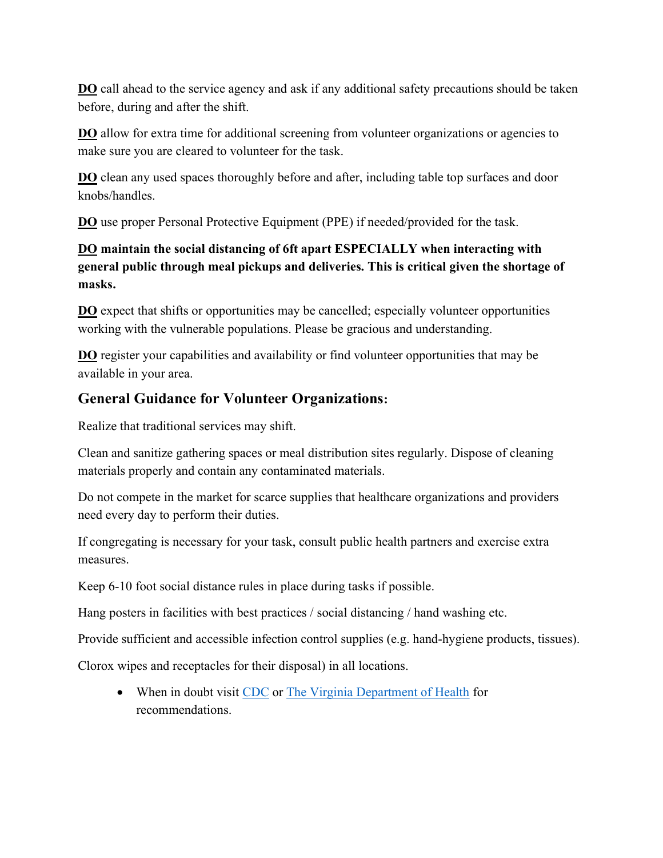**DO** call ahead to the service agency and ask if any additional safety precautions should be taken before, during and after the shift.

DO allow for extra time for additional screening from volunteer organizations or agencies to make sure you are cleared to volunteer for the task.

DO clean any used spaces thoroughly before and after, including table top surfaces and door knobs/handles.

DO use proper Personal Protective Equipment (PPE) if needed/provided for the task.

## DO maintain the social distancing of 6ft apart ESPECIALLY when interacting with general public through meal pickups and deliveries. This is critical given the shortage of masks.

DO expect that shifts or opportunities may be cancelled; especially volunteer opportunities working with the vulnerable populations. Please be gracious and understanding.

**DO** register your capabilities and availability or find volunteer opportunities that may be available in your area.

## General Guidance for Volunteer Organizations:

Realize that traditional services may shift.

Clean and sanitize gathering spaces or meal distribution sites regularly. Dispose of cleaning materials properly and contain any contaminated materials.

Do not compete in the market for scarce supplies that healthcare organizations and providers need every day to perform their duties.

If congregating is necessary for your task, consult public health partners and exercise extra measures.

Keep 6-10 foot social distance rules in place during tasks if possible.

Hang posters in facilities with best practices / social distancing / hand washing etc.

Provide sufficient and accessible infection control supplies (e.g. hand-hygiene products, tissues).

Clorox wipes and receptacles for their disposal) in all locations.

• When in doubt visit CDC or The Virginia Department of Health for recommendations.